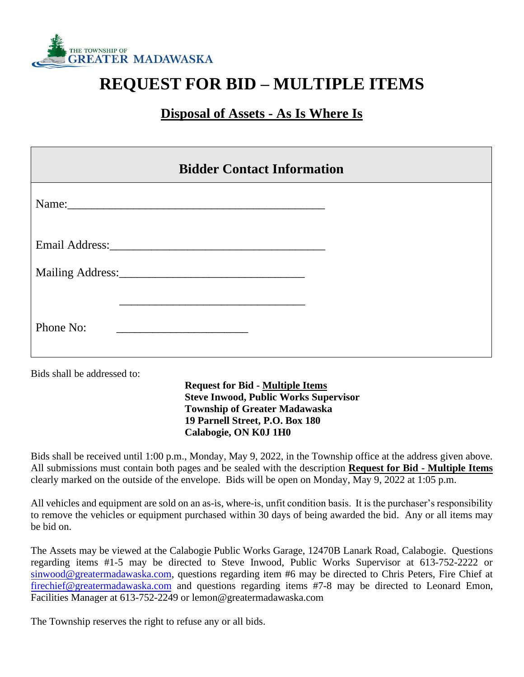

## **REQUEST FOR BID – MULTIPLE ITEMS**

## **Disposal of Assets - As Is Where Is**

| <b>Bidder Contact Information</b> |                                                                                                                                                                                                                                |  |  |
|-----------------------------------|--------------------------------------------------------------------------------------------------------------------------------------------------------------------------------------------------------------------------------|--|--|
|                                   | Name: Name and the set of the set of the set of the set of the set of the set of the set of the set of the set of the set of the set of the set of the set of the set of the set of the set of the set of the set of the set o |  |  |
|                                   |                                                                                                                                                                                                                                |  |  |
|                                   |                                                                                                                                                                                                                                |  |  |
|                                   |                                                                                                                                                                                                                                |  |  |
| Phone No:                         |                                                                                                                                                                                                                                |  |  |

Bids shall be addressed to:

**Request for Bid - Multiple Items Steve Inwood, Public Works Supervisor Township of Greater Madawaska 19 Parnell Street, P.O. Box 180 Calabogie, ON K0J 1H0**

Bids shall be received until 1:00 p.m., Monday, May 9, 2022, in the Township office at the address given above. All submissions must contain both pages and be sealed with the description **Request for Bid - Multiple Items** clearly marked on the outside of the envelope. Bids will be open on Monday, May 9, 2022 at 1:05 p.m.

All vehicles and equipment are sold on an as-is, where-is, unfit condition basis. It is the purchaser's responsibility to remove the vehicles or equipment purchased within 30 days of being awarded the bid. Any or all items may be bid on.

The Assets may be viewed at the Calabogie Public Works Garage, 12470B Lanark Road, Calabogie. Questions regarding items #1-5 may be directed to Steve Inwood, Public Works Supervisor at 613-752-2222 or [sinwood@greatermadawaska.com,](mailto:sinwood@greatermadawaska.com) questions regarding item #6 may be directed to Chris Peters, Fire Chief at [firechief@greatermadawaska.com](mailto:firechief@greatermadawaska.com) and questions regarding items #7-8 may be directed to Leonard Emon, Facilities Manager at 613-752-2249 or lemon@greatermadawaska.com

The Township reserves the right to refuse any or all bids.